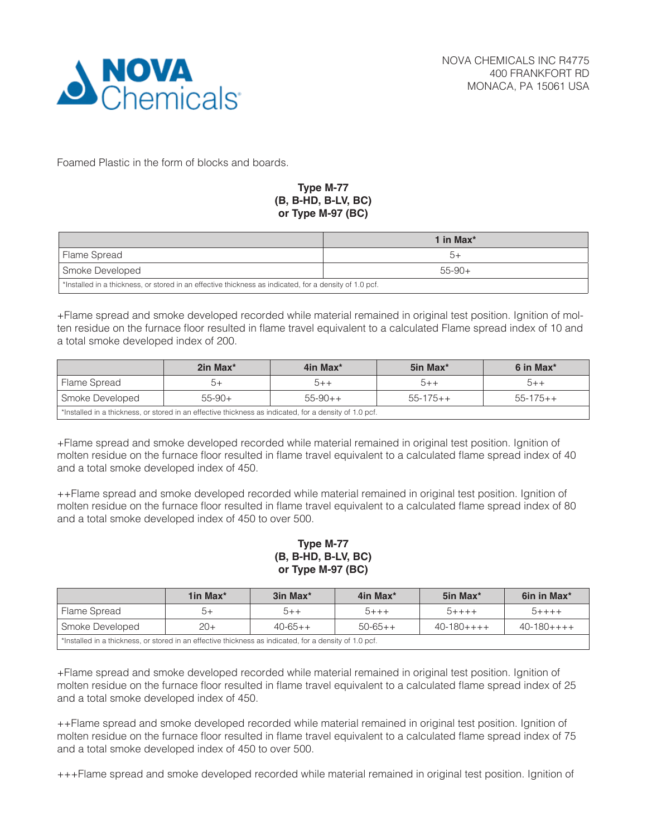

Foamed Plastic in the form of blocks and boards.

## **Type M-77 (B, B-HD, B-LV, BC) or Type M-97 (BC)**

|                                                                                                        | 1 in Max $^*$ |  |  |
|--------------------------------------------------------------------------------------------------------|---------------|--|--|
| Flame Spread                                                                                           | $+$           |  |  |
| Smoke Developed<br>$55-90+$                                                                            |               |  |  |
| *Installed in a thickness, or stored in an effective thickness as indicated, for a density of 1.0 pcf. |               |  |  |

+Flame spread and smoke developed recorded while material remained in original test position. Ignition of molten residue on the furnace floor resulted in flame travel equivalent to a calculated Flame spread index of 10 and a total smoke developed index of 200.

|                                                                                                        | 2in Max <sup>*</sup> | 4in Max <sup>*</sup> | 5in Max*       | 6 in Max <sup>*</sup> |  |
|--------------------------------------------------------------------------------------------------------|----------------------|----------------------|----------------|-----------------------|--|
| Flame Spread                                                                                           | b+                   | $+ + C$              | $5 + +$        | $b + +$               |  |
| Smoke Developed                                                                                        | $55-90+$             | $55-90++$            | $55 - 175 + +$ | $55 - 175 + +$        |  |
| *Installed in a thickness, or stored in an effective thickness as indicated, for a density of 1.0 pcf. |                      |                      |                |                       |  |

+Flame spread and smoke developed recorded while material remained in original test position. Ignition of molten residue on the furnace floor resulted in flame travel equivalent to a calculated flame spread index of 40 and a total smoke developed index of 450.

++Flame spread and smoke developed recorded while material remained in original test position. Ignition of molten residue on the furnace floor resulted in flame travel equivalent to a calculated flame spread index of 80 and a total smoke developed index of 450 to over 500.

## **Type M-77 (B, B-HD, B-LV, BC) or Type M-97 (BC)**

|                                                                                                        | 1in Max $*$ | 3in Max <sup>*</sup> | 4in Max*  | 5in Max <sup>*</sup> | 6in in Max <sup>*</sup> |
|--------------------------------------------------------------------------------------------------------|-------------|----------------------|-----------|----------------------|-------------------------|
| Flame Spread                                                                                           | $b+$        | $5++$                | $5 + + +$ | $5 + + + +$          | $5 + + + +$             |
| Smoke Developed                                                                                        | $20+$       | $40 - 65 + +$        | $50-65++$ | $40-180+++$          | $40-180+++$             |
| *Installed in a thickness, or stored in an effective thickness as indicated, for a density of 1.0 pcf. |             |                      |           |                      |                         |

+Flame spread and smoke developed recorded while material remained in original test position. Ignition of molten residue on the furnace floor resulted in flame travel equivalent to a calculated flame spread index of 25 and a total smoke developed index of 450.

++Flame spread and smoke developed recorded while material remained in original test position. Ignition of molten residue on the furnace floor resulted in flame travel equivalent to a calculated flame spread index of 75 and a total smoke developed index of 450 to over 500.

+++Flame spread and smoke developed recorded while material remained in original test position. Ignition of